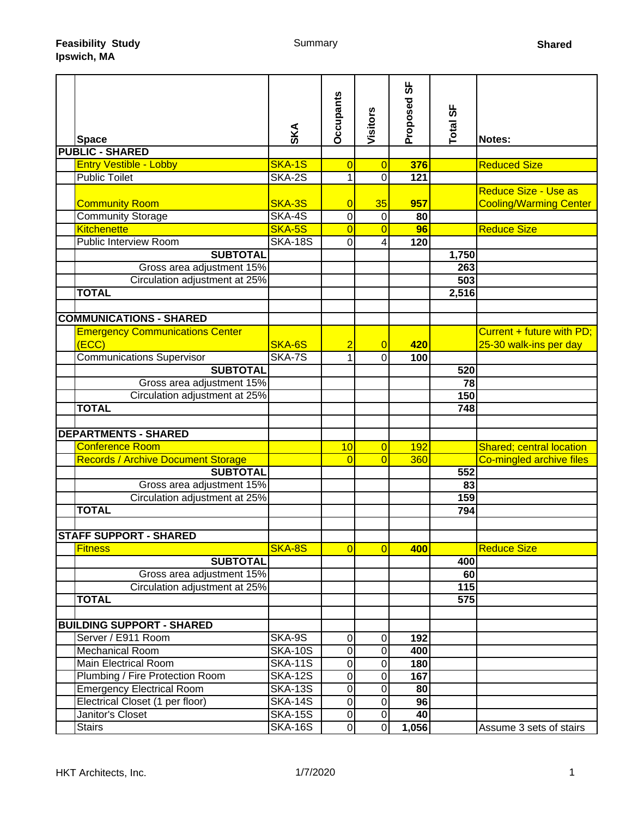| <b>Space</b>                              | SKA            | <b>Occupants</b> | Visitors       | სხ<br>Proposed | Total SF        | Notes:                          |
|-------------------------------------------|----------------|------------------|----------------|----------------|-----------------|---------------------------------|
| <b>PUBLIC - SHARED</b>                    |                |                  |                |                |                 |                                 |
| <b>Entry Vestible - Lobby</b>             | SKA-1S         | $\overline{0}$   | $\overline{0}$ | 376            |                 | <b>Reduced Size</b>             |
| <b>Public Toilet</b>                      | SKA-2S         | $\mathbf{1}$     | $\overline{0}$ | 121            |                 |                                 |
|                                           |                |                  |                |                |                 | Reduce Size - Use as            |
| <b>Community Room</b>                     | SKA-3S         | $\overline{0}$   | 35             | 957            |                 | <b>Cooling/Warming Center</b>   |
| Community Storage                         | SKA-4S         | 0                | $\mathbf 0$    | 80             |                 |                                 |
| <b>Kitchenette</b>                        | SKA-5S         | $\overline{0}$   | $\overline{0}$ | 96             |                 | <b>Reduce Size</b>              |
| <b>Public Interview Room</b>              | <b>SKA-18S</b> | $\mathbf 0$      | 4              | 120            |                 |                                 |
| <b>SUBTOTAL</b>                           |                |                  |                |                | 1,750           |                                 |
| Gross area adjustment 15%                 |                |                  |                |                | 263             |                                 |
| Circulation adjustment at 25%             |                |                  |                |                | 503             |                                 |
| <b>TOTAL</b>                              |                |                  |                |                | 2,516           |                                 |
|                                           |                |                  |                |                |                 |                                 |
| <b>COMMUNICATIONS - SHARED</b>            |                |                  |                |                |                 |                                 |
| <b>Emergency Communications Center</b>    |                |                  |                |                |                 | Current + future with PD;       |
| (ECC)                                     | SKA-6S         | $\overline{2}$   | $\overline{0}$ | 420            |                 | 25-30 walk-ins per day          |
| <b>Communications Supervisor</b>          | SKA-7S         | $\mathbf{1}$     | $\overline{0}$ | 100            |                 |                                 |
| <b>SUBTOTAL</b>                           |                |                  |                |                | 520             |                                 |
| Gross area adjustment 15%                 |                |                  |                |                | 78              |                                 |
| Circulation adjustment at 25%             |                |                  |                |                | 150             |                                 |
| <b>TOTAL</b>                              |                |                  |                |                | 748             |                                 |
|                                           |                |                  |                |                |                 |                                 |
| <b>DEPARTMENTS - SHARED</b>               |                |                  |                |                |                 |                                 |
| <b>Conference Room</b>                    |                | 10               | $\overline{0}$ | 192            |                 | <b>Shared; central location</b> |
| <b>Records / Archive Document Storage</b> |                | $\Omega$         | $\Omega$       | 360            |                 | Co-mingled archive files        |
| <b>SUBTOTAL</b>                           |                |                  |                |                | 552             |                                 |
| Gross area adjustment 15%                 |                |                  |                |                | $\overline{83}$ |                                 |
| Circulation adjustment at 25%             |                |                  |                |                | 159             |                                 |
| <b>TOTAL</b>                              |                |                  |                |                | 794             |                                 |
|                                           |                |                  |                |                |                 |                                 |
| <b>STAFF SUPPORT - SHARED</b>             |                |                  |                |                |                 |                                 |
| <b>Fitness</b>                            | SKA-8S         | $\Omega$         | $\Omega$       | 400            |                 | <b>Reduce Size</b>              |
| <b>SUBTOTAL</b>                           |                |                  |                |                | 400             |                                 |
| Gross area adjustment 15%                 |                |                  |                |                | 60              |                                 |
| Circulation adjustment at 25%             |                |                  |                |                | 115             |                                 |
| <b>TOTAL</b>                              |                |                  |                |                | 575             |                                 |
|                                           |                |                  |                |                |                 |                                 |
| <b>BUILDING SUPPORT - SHARED</b>          |                |                  |                |                |                 |                                 |
| Server / E911 Room                        | SKA-9S         | $\pmb{0}$        | 0              | 192            |                 |                                 |
| <b>Mechanical Room</b>                    | <b>SKA-10S</b> | 0                | 0              | 400            |                 |                                 |
| <b>Main Electrical Room</b>               | <b>SKA-11S</b> | 0                | $\mathbf 0$    | 180            |                 |                                 |
| Plumbing / Fire Protection Room           | <b>SKA-12S</b> | $\mathbf 0$      | 0              | 167            |                 |                                 |
| <b>Emergency Electrical Room</b>          | <b>SKA-13S</b> | 0                | $\pmb{0}$      | 80             |                 |                                 |
| Electrical Closet (1 per floor)           | <b>SKA-14S</b> | $\mathbf 0$      | $\mathbf 0$    | 96             |                 |                                 |
| Janitor's Closet                          | <b>SKA-15S</b> | 0                | $\pmb{0}$      | 40             |                 |                                 |
| <b>Stairs</b>                             | <b>SKA-16S</b> | $\overline{0}$   | $\mathbf 0$    | 1,056          |                 | Assume 3 sets of stairs         |